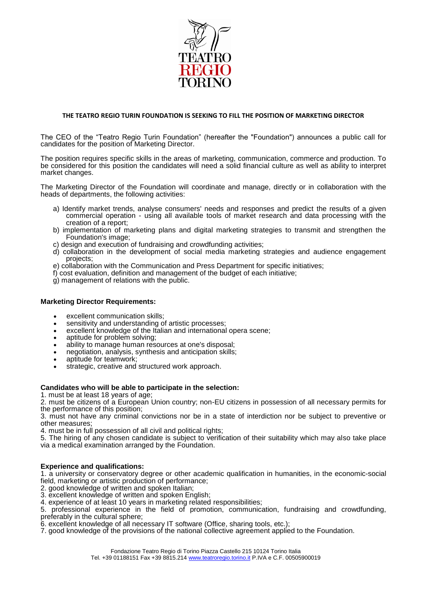

# **THE TEATRO REGIO TURIN FOUNDATION IS SEEKING TO FILL THE POSITION OF MARKETING DIRECTOR**

The CEO of the "Teatro Regio Turin Foundation" (hereafter the "Foundation") announces a public call for candidates for the position of Marketing Director.

The position requires specific skills in the areas of marketing, communication, commerce and production. To be considered for this position the candidates will need a solid financial culture as well as ability to interpret market changes.

The Marketing Director of the Foundation will coordinate and manage, directly or in collaboration with the heads of departments, the following activities:

- a) Identify market trends, analyse consumers' needs and responses and predict the results of a given commercial operation - using all available tools of market research and data processing with the creation of a report;
- b) implementation of marketing plans and digital marketing strategies to transmit and strengthen the Foundation's image;
- c) design and execution of fundraising and crowdfunding activities;
- d) collaboration in the development of social media marketing strategies and audience engagement projects;
- e) collaboration with the Communication and Press Department for specific initiatives;
- f) cost evaluation, definition and management of the budget of each initiative;
- g) management of relations with the public.

## **Marketing Director Requirements:**

- excellent communication skills;
- sensitivity and understanding of artistic processes;
- excellent knowledge of the Italian and international opera scene;
- aptitude for problem solving;
- ability to manage human resources at one's disposal;
- negotiation, analysis, synthesis and anticipation skills;
- aptitude for teamwork;
- strategic, creative and structured work approach.

#### **Candidates who will be able to participate in the selection:**

1. must be at least 18 years of age;

2. must be citizens of a European Union country; non-EU citizens in possession of all necessary permits for the performance of this position;

3. must not have any criminal convictions nor be in a state of interdiction nor be subject to preventive or other measures;

4. must be in full possession of all civil and political rights;

5. The hiring of any chosen candidate is subject to verification of their suitability which may also take place via a medical examination arranged by the Foundation.

## **Experience and qualifications:**

1. a university or conservatory degree or other academic qualification in humanities, in the economic-social field, marketing or artistic production of performance;

- 2. good knowledge of written and spoken Italian;
- 3. excellent knowledge of written and spoken English;

4. experience of at least 10 years in marketing related responsibilities;

5. professional experience in the field of promotion, communication, fundraising and crowdfunding, preferably in the cultural sphere;

- 6. excellent knowledge of all necessary IT software (Office, sharing tools, etc.);
- 7. good knowledge of the provisions of the national collective agreement applied to the Foundation.